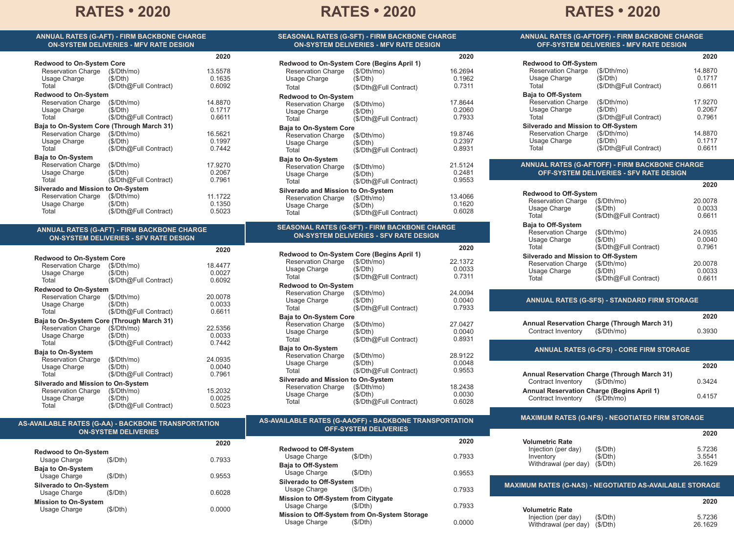# **RATES • 2020 RATES • 2020 RATES • 2020**

**SEASONAL RATES (G-SFT) - FIRM BACKBONE CHARGE**

**ANNUAL RATES (G-AFTOFF) - FIRM BACKBONE CHARGE OFF-SYSTEM DELIVERIES - MFV RATE DESIGN**

(\$/Dth@Full Contract)

 $(S/Dth@Full$  Contract)

 $(S/Dth@Full$  Contract)

|                                                                    | <b>ANNUAL RATES (G-AFT) - FIRM BACKBONE CHARGE</b><br><b>ON-SYSTEM DELIVERIES - MFV RATE DESIGN</b> |         |
|--------------------------------------------------------------------|-----------------------------------------------------------------------------------------------------|---------|
|                                                                    |                                                                                                     | 2020    |
| <b>Redwood to On-System Core</b><br>Reservation Charge (\$/Dth/mo) |                                                                                                     | 13.5578 |
| Usage Charge                                                       | (\$/Dth)                                                                                            | 0.1635  |
| Total                                                              | (\$/Dth@Full Contract)                                                                              | 0.6092  |
| <b>Redwood to On-System</b>                                        |                                                                                                     |         |
| <b>Reservation Charge</b>                                          | (\$/Dth/mol)                                                                                        | 14.8870 |
| Usage Charge                                                       | (\$/Dth)                                                                                            | 0.1717  |
| Total                                                              | (\$/Dth@Full Contract)                                                                              | 0.6611  |
| Baja to On-System Core (Through March 31)                          |                                                                                                     |         |
| Reservation Charge                                                 | (\$/Dth/mol)                                                                                        | 16.5621 |
| Usage Charge                                                       | (S/Dth)                                                                                             | 0.1997  |
| Total                                                              | (\$/Dth@Full Contract)                                                                              | 0.7442  |
| <b>Baja to On-System</b>                                           |                                                                                                     |         |
| Reservation Charge                                                 | (\$/Dth/mol)                                                                                        | 17.9270 |
| Usage Charge                                                       | (\$/Dth)                                                                                            | 0.2067  |
| Total                                                              | (\$/Dth@Full Contract)                                                                              | 0.7961  |
| <b>Silverado and Mission to On-System</b>                          |                                                                                                     |         |
| Reservation Charge                                                 | (\$/Dth/mol)                                                                                        | 11.1722 |
| Usage Charge                                                       | (S/Dth)                                                                                             | 0.1350  |
| Total                                                              | (\$/Dth@Full Contract)                                                                              | 0.5023  |

#### **ANNUAL RATES (G-AFT) - FIRM BACKBONE CHARGE ON-SYSTEM DELIVERIES - SFV RATE DESIGN**

|                                    |                                           | 2020    |
|------------------------------------|-------------------------------------------|---------|
| <b>Redwood to On-System Core</b>   |                                           |         |
| Reservation Charge                 | (\$/Dth/mol)                              | 18.4477 |
| Usage Charge                       | (S/Dth)                                   | 0.0027  |
| Total                              | (\$/Dth@Full Contract)                    | 0.6092  |
| <b>Redwood to On-System</b>        |                                           |         |
| <b>Reservation Charge</b>          | (S/Dth/mol)                               | 20.0078 |
| Usage Charge                       | (S/Dth)                                   | 0.0033  |
| Total                              | (\$/Dth@Full Contract)                    | 0.6611  |
|                                    | Baja to On-System Core (Through March 31) |         |
| Reservation Charge                 | (\$/Dth/mol)                              | 22.5356 |
| Usage Charge                       | (S/Dth)                                   | 0.0033  |
| Total                              | (\$/Dth@Full Contract)                    | 0.7442  |
| <b>Baja to On-System</b>           |                                           |         |
| <b>Reservation Charge</b>          | (S/Dth/mol)                               | 24.0935 |
| Usage Charge                       | (S/Dth)                                   | 0.0040  |
| Total                              | (\$/Dth@Full Contract)                    | 0.7961  |
| Silverado and Mission to On-System |                                           |         |
| Reservation Charge                 | (\$/Dth/mol)                              | 15.2032 |
| Usage Charge                       | (S/Dth)                                   | 0.0025  |
| Total                              | (\$/Dth@Full Contract)                    | 0.5023  |

**AS-AVAILABLE RATES (G-AA) - BACKBONE TRANSPORTATION ON-SYSTEM DELIVERIES**

| <b>ON-SYSTEM DELIVERIES - MFV RATE DESIGN</b> |                                            |         |
|-----------------------------------------------|--------------------------------------------|---------|
|                                               | Redwood to On-System Core (Begins April 1) | 2020    |
| Reservation Charge                            | (\$/Dth/mol)                               | 16.2694 |
| Usage Charge                                  | (S/Dth)                                    | 0.1962  |
| Total                                         | (\$/Dth@Full Contract)                     | 0.7311  |
| <b>Redwood to On-System</b>                   |                                            |         |
| <b>Reservation Charge</b>                     | (S/Dth/mol)                                | 17.8644 |
| Usage Charge                                  | (\$/Dth)                                   | 0.2060  |
| Total                                         | (\$/Dth@Full Contract)                     | 0.7933  |
| <b>Baja to On-System Core</b>                 |                                            |         |
| <b>Reservation Charge</b>                     | (\$/Dth/mol)                               | 19.8746 |
| Usage Charge                                  | (\$/Dth)                                   | 0.2397  |
| Total                                         | (\$/Dth@Full Contract)                     | 0.8931  |
| <b>Baja to On-System</b>                      |                                            |         |
| <b>Reservation Charge</b>                     | (\$/Dth/mol)                               | 21.5124 |
| Usage Charge                                  | (\$/Dth)                                   | 0.2481  |
| Total                                         | (\$/Dth@Full Contract)                     | 0.9553  |
| <b>Silverado and Mission to On-System</b>     |                                            |         |
| <b>Reservation Charge</b>                     | (\$/Dth/mol)                               | 13.4066 |
| Usage Charge                                  | (\$/Dth)                                   | 0.1620  |
| Total                                         | (\$/Dth@Full Contract)                     | 0.6028  |

#### **SEASONAL RATES (G-SFT) - FIRM BACKBONE CHARGE ON-SYSTEM DELIVERIES - SFV RATE DESIGN**

|                                            |                        | 2020    |
|--------------------------------------------|------------------------|---------|
| Redwood to On-System Core (Begins April 1) |                        |         |
| <b>Reservation Charge</b>                  | (\$/Dth/mol)           | 22.1372 |
| Usage Charge                               | (\$/Dth)               | 0.0033  |
| Total                                      | (\$/Dth@Full Contract) | 0.7311  |
| <b>Redwood to On-System</b>                |                        |         |
| Reservation Charge                         | (S/Dth/mol)            | 24.0094 |
| Usage Charge                               | (\$/Dth)               | 0.0040  |
| Total                                      | (\$/Dth@Full Contract) | 0.7933  |
| <b>Baja to On-System Core</b>              |                        |         |
| <b>Reservation Charge</b>                  | (S/Dth/mol)            | 27.0427 |
| Usage Charge                               | (\$/Dth)               | 0.0040  |
| Total                                      | (\$/Dth@Full Contract) | 0.8931  |
| <b>Baja to On-System</b>                   |                        |         |
| <b>Reservation Charge</b>                  | (S/Dth/mol)            | 28.9122 |
| Usage Charge                               | (S/Dth)                | 0.0048  |
| Total                                      | (\$/Dth@Full Contract) | 0.9553  |
| Silverado and Mission to On-System         |                        |         |
| <b>Reservation Charge</b>                  | (\$/Dth/mol)           | 18.2438 |
| Usage Charge                               | (\$/Dth)               | 0.0030  |
| Total                                      | \$/Dth@Full Contract)  | 0.6028  |

## **Baja to Off-System** 028

**Redwood to Off-System**

**Redwood to Off-System**<br>Reservation Charge (\$/Dth/mo) Reservation Charge (\$/Dth/r<br>Usage Charge (\$/Dth)

Reservation Charge (\$/Dth/mo)<br>Usage Charge (\$/Dth)

**Silverado and Mission to Off-System**<br>Reservation Charge (\$/Dth/mo) Reservation Charge (\$/Dth/r<br>Usage Charge (\$/Dth)

Usage Charge<br>Total

**Baja to Off-System**

Usage Charge<br>Total

Usage Charge<br>Total

**Volumetric Rate**

| <b>Reservation Charge</b>                           | (\$/Dth/mol)                                 | 20.0078 |  |
|-----------------------------------------------------|----------------------------------------------|---------|--|
| Usage Charge                                        | (\$/Dth)                                     | 0.0033  |  |
| Total                                               | (\$/Dth@Full Contract)                       | 0.6611  |  |
| <b>Baja to Off-System</b>                           |                                              |         |  |
| <b>Reservation Charge</b>                           | (S/Dth/mol)                                  | 24.0935 |  |
| Usage Charge                                        | (\$/Dth)                                     | 0.0040  |  |
| Total                                               | (\$/Dth@Full Contract)                       | 0.7961  |  |
| Silverado and Mission to Off-System                 |                                              |         |  |
| Reservation Charge                                  | (\$/Dth/mol)                                 | 20.0078 |  |
| Usage Charge                                        | (\$/Dth)                                     | 0.0033  |  |
| Total                                               | (\$/Dth@Full Contract)                       | 0.6611  |  |
|                                                     |                                              |         |  |
|                                                     |                                              |         |  |
| <b>ANNUAL RATES (G-SFS) - STANDARD FIRM STORAGE</b> |                                              |         |  |
|                                                     |                                              | 2020    |  |
|                                                     | Annual Reservation Charge (Through March 31) |         |  |
| Contract Inventory                                  | (S/Dth/mol)                                  | 0.3930  |  |
|                                                     |                                              |         |  |

**ANNUAL RATES (G-AFTOFF) - FIRM BACKBONE CHARGE OFF-SYSTEM DELIVERIES - SFV RATE DESIGN**

### **ANNUAL RATES (G-CFS) - CORE FIRM STORAGE**

|                                                                                  | 2020   |
|----------------------------------------------------------------------------------|--------|
| Annual Reservation Charge (Through March 31)<br>Contract Inventory (\$/Dth/mo)   | 0.3424 |
| Annual Reservation Charge (Begins April 1)<br>(\$/Dth/mol)<br>Contract Inventory | 0.4157 |

**MAXIMUM RATES (G-NFS) - NEGOTIATED FIRM STORAGE**

**2020**

**2020**

14.8870 0.1717 0.6611 17.9270 0.2067 0.7961

**2020**

14.8870 0.1717 0.6611

### **AS-AVAILABLE RATES (G-AAOFF) - BACKBONE TRANSPORTATION OFF-SYSTEM DELIVERIES**

|                                               |         |        |                                                     |                                              | 2020   |
|-----------------------------------------------|---------|--------|-----------------------------------------------------|----------------------------------------------|--------|
|                                               |         | 2020   | <b>Redwood to Off-System</b>                        |                                              |        |
| <b>Redwood to On-System</b><br>Usage Charge   | (S/Dth) | 0.7933 | Usage Charge                                        | (S/Dth)                                      | 0.7933 |
| <b>Baja to On-System</b>                      |         |        | <b>Baja to Off-System</b>                           |                                              |        |
| Usage Charge                                  | (S/Dth) | 0.9553 | Usage Charge                                        | (S/Dth)                                      | 0.9553 |
| <b>Silverado to On-System</b><br>Usage Charge | (S/Dth) | 0.6028 | <b>Silverado to Off-System</b><br>Usage Charge      | (S/Dth)                                      | 0.7933 |
| <b>Mission to On-System</b>                   |         | 0.0000 | Mission to Off-System from Citygate<br>Usage Charge | (\$/Dth)                                     | 0.7933 |
| (S/Dth)<br>Usage Charge                       |         |        |                                                     | Mission to Off-System from On-System Storage |        |
|                                               |         |        | Usage Charge                                        | (S/Dth)                                      | 0.0000 |

| (\$/Dth)<br>(S/Dth)<br>(S/Dth)<br>Withdrawal (per day) | 5.7236<br>3.5541<br>26.1629                                    |
|--------------------------------------------------------|----------------------------------------------------------------|
|                                                        | <b>MAXIMUM RATES (G-NAS) - NEGOTIATED AS-AVAILABLE STORAGE</b> |
|                                                        | 2020                                                           |
| (S/Dth)<br>Withdrawal (per day)<br>(S/Dth)             | 5.7236<br>26.1629                                              |
|                                                        |                                                                |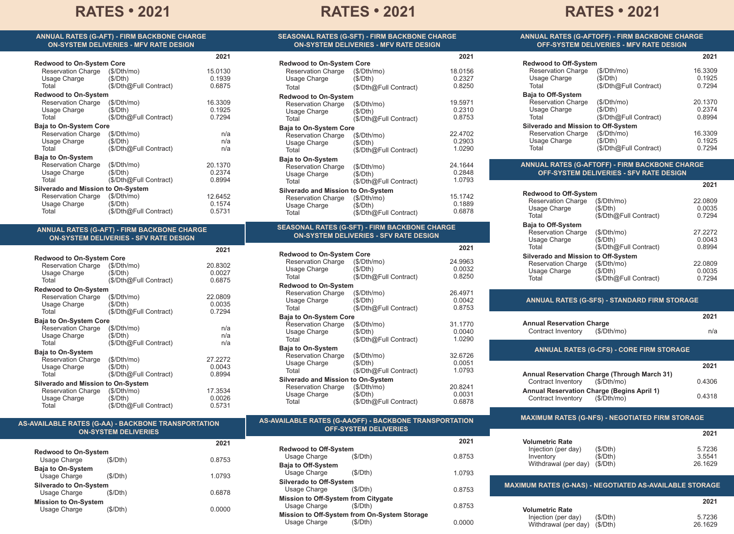# **RATES • 2021 RATES • 2021 RATES • 2021**

**SEASONAL RATES (G-SFT) - FIRM BACKBONE CHARGE ON-SYSTEM DELIVERIES - MFV RATE DESIGN**

**ANNUAL RATES (G-AFTOFF) - FIRM BACKBONE CHARGE**

| ANNUAL RATES (G-AFT) - FIRM BACKBONE CHARGE   |  |
|-----------------------------------------------|--|
| <b>ON-SYSTEM DELIVERIES - MFV RATE DESIGN</b> |  |

|                                    |                        | 2021    |
|------------------------------------|------------------------|---------|
| <b>Redwood to On-System Core</b>   |                        |         |
| <b>Reservation Charge</b>          | (\$/Dth/mo)            | 15.0130 |
| Usage Charge                       | (S/Dth)                | 0.1939  |
| Total                              | (\$/Dth@Full Contract) | 0.6875  |
| <b>Redwood to On-System</b>        |                        |         |
| <b>Reservation Charge</b>          | (S/Dth/mol)            | 16.3309 |
| Usage Charge                       | (\$/Dth)               | 0.1925  |
| Total                              | (\$/Dth@Full Contract) | 0.7294  |
| <b>Baja to On-System Core</b>      |                        |         |
| <b>Reservation Charge</b>          | (S/Dth/mol)            | n/a     |
| Usage Charge                       | (S/Dth)                | n/a     |
| Total                              | (\$/Dth@Full Contract) | n/a     |
| <b>Baja to On-System</b>           |                        |         |
| <b>Reservation Charge</b>          | (\$/Dth/mol)           | 20.1370 |
| Usage Charge                       | (\$/Dth)               | 0.2374  |
| Total                              | (\$/Dth@Full Contract) | 0.8994  |
| Silverado and Mission to On-System |                        |         |
| Reservation Charge                 | (\$/Dth/mol)           | 12.6452 |
| Usage Charge                       | (\$/Dth)               | 0.1574  |
| Total                              | \$/Dth@Full Contract)  | 0.5731  |

#### **ANNUAL RATES (G-AFT) - FIRM BACKBONE CHARGE ON-SYSTEM DELIVERIES - SFV RATE DESIGN**

|                                    | 2021                                                                         |
|------------------------------------|------------------------------------------------------------------------------|
|                                    |                                                                              |
| Reservation Charge<br>(\$/Dth/mol) | 20.8302                                                                      |
|                                    | 0.0027                                                                       |
| (\$/Dth@Full Contract)             | 0.6875                                                                       |
| <b>Redwood to On-System</b>        |                                                                              |
| (S/Dth/mol)                        | 22.0809                                                                      |
| (\$/Dth)                           | 0.0035                                                                       |
| (\$/Dth@Full Contract)             | 0.7294                                                                       |
|                                    |                                                                              |
| (S/Dth/mol)                        | n/a                                                                          |
| (S/Dth)                            | n/a                                                                          |
| (\$/Dth@Full Contract)             | n/a                                                                          |
|                                    |                                                                              |
| (S/Dth/mol)                        | 27.2272                                                                      |
| (S/Dth)                            | 0.0043                                                                       |
| (\$/Dth@Full Contract)             | 0.8994                                                                       |
| Silverado and Mission to On-System |                                                                              |
| (\$/Dth/mol)                       | 17.3534                                                                      |
| (\$/Dth)                           | 0.0026                                                                       |
| (\$/Dth@Full Contract)             | 0.5731                                                                       |
|                                    | <b>Redwood to On-System Core</b><br>(S/Dth)<br><b>Baja to On-System Core</b> |

#### **SEASONAL RATES (G-SFT) - FIRM BACKBONE CHARGE ON-SYSTEM DELIVERIES - SFV RATE DESIGN Redwood to On-System Core** Reservation Charge (\$/Dth/mo)<br>Usage Charge (\$/Dth) Usage Charge<br>Total  $(S/Dth@Full$  Contract) **Redwood to On-System**<br>Reservation Charge (\$/Dth/mo) Reservation Charge (\$/Dth/r<br>Usage Charge (\$/Dth) Usage Charge<br>Total (\$/Dth@Full Contract) **Baja to On-System Core**<br>Reservation Charge (\$/Dth/mo) Reservation Charge (\$/Dth/no<br>Usage Charge (\$/Dth) Usage Charge<br>Total  $(S/Dth@Full Contract)$ **Baja to On-System** 24.9963 0.0032 0.8250 26.4971 0.0042 0.8753 31.1770 0.0040 1.0290 **2021 Redwood to On-System Core**<br>Reservation Charge (\$/Dth/mo) Reservation Charge (\$/Dth/n<br>Usage Charge (\$/Dth) Usage Charge Total (\$/Dth@Full Contract) **Redwood to On-System**<br>Reservation Charge (\$/Dth/mo) Reservation Charge (\$/Dth/no<br>Usage Charge (\$/Dth) Usage Charge<br>Total (\$/Dth@Full Contract) **Baja to On-System Core**<br>Reservation Charge (\$/Dth/mo) Reservation Charge (\$/Dth/r<br>Usage Charge (\$/Dth) Usage Charge<br>Total  $(S/Dth@Full$  Contract) **Baja to On-System** Reservation Charge (\$/Dth/mo)<br>Usage Charge (\$/Dth) Usage Charge<br>Total (\$/Dth@Full Contract) **Silverado and Mission to On-System**<br>Reservation Charge (\$/Dth/mo) Reservation Charge (\$/Dth/r<br>Usage Charge (\$/Dth) Usage Charge<br>Total (\$/Dth@Full Contract) 18.0156 0.2327 0.8250 19.5971 0.2310 0.8753 22.4702 0.2903 1.0290 24.1644 0.2848 1.0793 15.1742 0.1889 0.6878

| <b>Reservation Charge</b>                 | (\$/Dth/mol)           | 32.6726 |
|-------------------------------------------|------------------------|---------|
| Usage Charge                              | (\$/Dth)               | 0.0051  |
| Total                                     | (\$/Dth@Full Contract) | 1.0793  |
| <b>Silverado and Mission to On-System</b> |                        |         |
| <b>Reservation Charge</b>                 | (\$/Dth/mol)           | 20.8241 |
| Usage Charge                              | (S/Dth)                | 0.0031  |
| Total                                     | (\$/Dth@Full Contract) | 0.6878  |

## **OFF-SYSTEM DELIVERIES - MFV RATE DESIGN Redwood to Off-System**

| <b>Reservation Charge</b>           | (\$/Dth/mol)           | 16.3309 |
|-------------------------------------|------------------------|---------|
| Usage Charge                        | (\$/Dth)               | 0.1925  |
| Total                               | (\$/Dth@Full Contract) | 0.7294  |
| <b>Baja to Off-System</b>           |                        |         |
| <b>Reservation Charge</b>           | (\$/Dth/mol)           | 20.1370 |
| Usage Charge                        | (\$/Dth)               | 0.2374  |
| Total                               | (\$/Dth@Full Contract) | 0.8994  |
| Silverado and Mission to Off-System |                        |         |
| <b>Reservation Charge</b>           | (\$/Dth/mol)           | 16.3309 |
| Usage Charge                        | (\$/Dth)               | 0.1925  |
| Total                               | (\$/Dth@Full Contract) | 0.7294  |
|                                     |                        |         |

#### **ANNUAL RATES (G-AFTOFF) - FIRM BACKBONE CHARGE OFF-SYSTEM DELIVERIES - SFV RATE DESIGN**

|                                     |                        | 2021    |
|-------------------------------------|------------------------|---------|
| <b>Redwood to Off-System</b>        |                        |         |
| <b>Reservation Charge</b>           | (\$/Dth/mol)           | 22.0809 |
| Usage Charge                        | (\$/Dth)               | 0.0035  |
| Total                               | (\$/Dth@Full Contract) | 0.7294  |
| <b>Baja to Off-System</b>           |                        |         |
| <b>Reservation Charge</b>           | (S/Dth/mol)            | 27.2272 |
| Usage Charge                        | (\$/Dth)               | 0.0043  |
| Total                               | (\$/Dth@Full Contract) | 0.8994  |
| Silverado and Mission to Off-System |                        |         |
| <b>Reservation Charge</b>           | (\$/Dth/mol)           | 22.0809 |
| Usage Charge                        | (\$/Dth)               | 0.0035  |
| Total                               | (\$/Dth@Full Contract) | 0.7294  |

### **ANNUAL RATES (G-SFS) - STANDARD FIRM STORAGE**

| <b>Annual Reservation Charge</b>                | 2021 |
|-------------------------------------------------|------|
| Contract Inventory (\$/Dth/mo)                  | n/a  |
| <b>ANNUAL RATES (G-CFS) - CORE FIRM STORAGE</b> |      |

|                                              | 2021   |
|----------------------------------------------|--------|
| Annual Reservation Charge (Through March 31) |        |
| Contract Inventory (\$/Dth/mo)               | 0.4306 |
| Annual Reservation Charge (Begins April 1)   |        |
| (\$/Dth/mo)<br>Contract Inventory            | 0.4318 |

**MAXIMUM RATES (G-NFS) - NEGOTIATED FIRM STORAGE**

E 7026

**2021**

**2021**

**Volumetric Rate**

**2021**

0.0000

 $Ini$ <sup>10</sup>

| AS-AVAILABLE RATES (G-AA) - BACKBONE TRANSPORTATION |                             |  |
|-----------------------------------------------------|-----------------------------|--|
|                                                     | <b>ON-SYSTEM DELIVERIES</b> |  |

|                                               |          | 2021   |
|-----------------------------------------------|----------|--------|
| <b>Redwood to On-System</b><br>Usage Charge   | (S/Dth)  | 0.8753 |
| <b>Baja to On-System</b><br>Usage Charge      | (S/Dth)  | 1.0793 |
| <b>Silverado to On-System</b><br>Usage Charge | (S/Dth)  | 0.6878 |
| <b>Mission to On-System</b><br>Usage Charge   | (\$/Dth) | 0 0000 |

| <b>AS-AVAILABLE RATES (G-AAOFF) - BACKBONE TRANSPORTATION</b> |
|---------------------------------------------------------------|
| <b>OFF-SYSTEM DELIVERIES</b>                                  |

| 021  |                                            |         | 2021   |  |
|------|--------------------------------------------|---------|--------|--|
|      | <b>Redwood to Off-System</b>               |         |        |  |
| 753  | Usage Charge                               | (S/Dth) | 0.8753 |  |
|      | <b>Baja to Off-System</b>                  |         |        |  |
| 793  | Usage Charge                               | (S/Dth) | 1.0793 |  |
|      | <b>Silverado to Off-System</b>             |         |        |  |
| 878  | Usage Charge                               | (S/Dth) | 0.8753 |  |
|      | <b>Mission to Off-System from Citygate</b> |         |        |  |
| 0.00 | Usage Charge                               | (S/Dth) | 0.8753 |  |

**Mission to Off-System from On-System Storage**

Usage Charge

| n                                                              | ו וויש וט | J.I ZJU |
|----------------------------------------------------------------|-----------|---------|
| Inventory                                                      | (\$/Dth)  | 3.5541  |
| Withdrawal (per day)                                           | (S/Dth)   | 26.1629 |
| <b>MAXIMUM RATES (G-NAS) - NEGOTIATED AS-AVAILABLE STORAGE</b> |           |         |
| <b>Volumetric Rate</b>                                         |           | 2021    |
| Injection (per day)                                            | (S/Dth)   | 5.7236  |
| Withdrawal (per day)                                           | (S/Dth)   | 26.1629 |